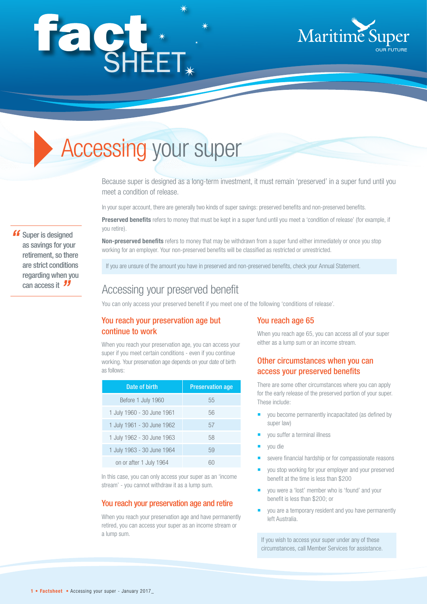# fact.



# Accessing your super

Because super is designed as a long-term investment, it must remain 'preserved' in a super fund until you meet a condition of release.

In your super account, there are generally two kinds of super savings: preserved benefits and non-preserved benefits.

**Preserved benefits** refers to money that must be kept in a super fund until you meet a 'condition of release' (for example, if you retire).

**Non-preserved benefits** refers to money that may be withdrawn from a super fund either immediately or once you stop working for an employer. Your non-preserved benefits will be classified as restricted or unrestricted.

If you are unsure of the amount you have in preserved and non-preserved benefits, check your Annual Statement.

# Accessing your preserved benefit

You can only access your preserved benefit if you meet one of the following 'conditions of release'.

# You reach your preservation age but continue to work

When you reach your preservation age, you can access your super if you meet certain conditions - even if you continue working. Your preservation age depends on your date of birth as follows:

| Date of birth              | <b>Preservation age</b> |
|----------------------------|-------------------------|
| Before 1 July 1960         | 55                      |
| 1 July 1960 - 30 June 1961 | 56                      |
| 1 July 1961 - 30 June 1962 | 57                      |
| 1 July 1962 - 30 June 1963 | 58                      |
| 1 July 1963 - 30 June 1964 | 59                      |
| on or after 1 July 1964    |                         |

In this case, you can only access your super as an 'income stream' - you cannot withdraw it as a lump sum.

#### You reach your preservation age and retire

When you reach your preservation age and have permanently retired, you can access your super as an income stream or a lump sum.

#### You reach age 65

When you reach age 65, you can access all of your super either as a lump sum or an income stream.

# Other circumstances when you can access your preserved benefits

There are some other circumstances where you can apply for the early release of the preserved portion of your super. These include:

- vou become permanently incapacitated (as defined by super law)
- you suffer a terminal illness
- you die
- severe financial hardship or for compassionate reasons
- you stop working for your employer and your preserved benefit at the time is less than \$200
- you were a 'lost' member who is 'found' and your benefit is less than \$200; or
- you are a temporary resident and you have permanently left Australia.

If you wish to access your super under any of these circumstances, call Member Services for assistance.

**"** Super is designed as savings for your retirement, so there are strict conditions regarding when you can access it*"*